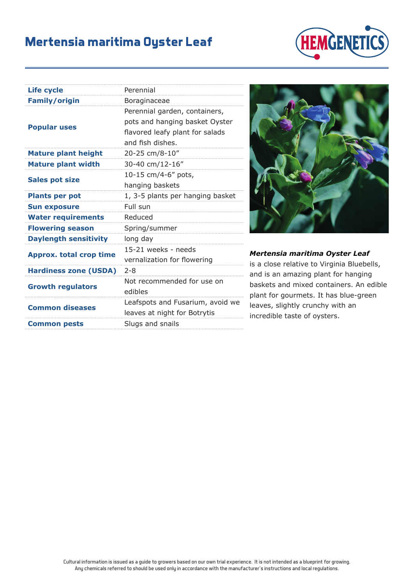## **Mertensia maritima Oyster Leaf**



| Life cycle                     | Perennial                                                        |
|--------------------------------|------------------------------------------------------------------|
| <b>Family/origin</b>           | Boraginaceae                                                     |
| <b>Popular uses</b>            | Perennial garden, containers,<br>pots and hanging basket Oyster  |
|                                | flavored leafy plant for salads<br>and fish dishes.              |
| <b>Mature plant height</b>     | 20-25 cm/8-10"                                                   |
| <b>Mature plant width</b>      | 30-40 cm/12-16"                                                  |
| <b>Sales pot size</b>          | 10-15 cm/4-6" pots,                                              |
|                                | hanging baskets                                                  |
| <b>Plants per pot</b>          | 1, 3-5 plants per hanging basket                                 |
| <b>Sun exposure</b>            | Full sun                                                         |
| <b>Water requirements</b>      | Reduced                                                          |
| <b>Flowering season</b>        | Spring/summer                                                    |
| <b>Daylength sensitivity</b>   | long day                                                         |
| <b>Approx. total crop time</b> | 15-21 weeks - needs                                              |
|                                | vernalization for flowering                                      |
| <b>Hardiness zone (USDA)</b>   | $2 - 8$                                                          |
| <b>Growth regulators</b>       | Not recommended for use on<br>edibles                            |
| <b>Common diseases</b>         | Leafspots and Fusarium, avoid we<br>leaves at night for Botrytis |
| <b>Common pests</b>            | Slugs and snails                                                 |



*Mertensia maritima Oyster Leaf*

is a close relative to Virginia Bluebells, and is an amazing plant for hanging baskets and mixed containers. An edible plant for gourmets. It has blue-green leaves, slightly crunchy with an incredible taste of oysters.